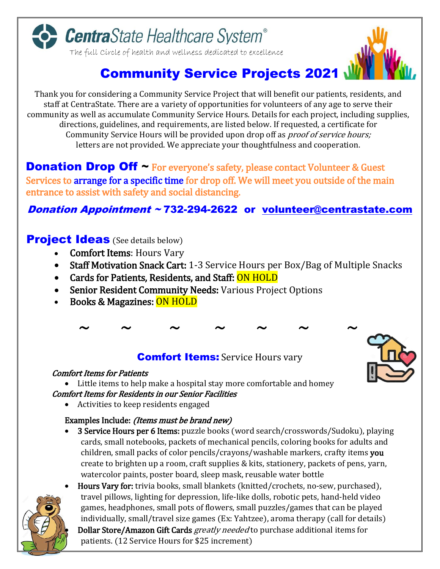

# **Community Service Projects 2021**

Thank you for considering a Community Service Project that will benefit our patients, residents, and staff at CentraState. There are a variety of opportunities for volunteers of any age to serve their community as well as accumulate Community Service Hours. Details for each project, including supplies, directions, guidelines, and requirements, are listed below. If requested, a certificate for Community Service Hours will be provided upon drop off as *proof of service hours;* letters are not provided. We appreciate your thoughtfulness and cooperation.

**Donation Drop Off**  $\sim$  For everyone's safety, please contact Volunteer & Guest Services to arrange for a specific time for drop off. We will meet you outside of the main entrance to assist with safety and social distancing.

### Donation Appointment ~ 732-294-2622 or [volunteer@centrastate.com](mailto:volunteer@centrastate.com)

#### **Project Ideas** (See details below)

- Comfort Items: Hours Vary
- Staff Motivation Snack Cart: 1-3 Service Hours per Box/Bag of Multiple Snacks
- Cards for Patients, Residents, and Staff: ON HOLD
- Senior Resident Community Needs: Various Project Options
- Books & Magazines: ON HOLD

#### **Comfort Items:** Service Hours vary

#### Comfort Items for Patients

 Little items to help make a hospital stay more comfortable and homey Comfort Items for Residents in our Senior Facilities

Activities to keep residents engaged

#### Examples Include: (Items must be brand new)

• 3 Service Hours per 6 Items: puzzle books (word search/crosswords/Sudoku), playing cards, small notebooks, packets of mechanical pencils, coloring books for adults and children, small packs of color pencils/crayons/washable markers, crafty items you create to brighten up a room, craft supplies & kits, stationery, packets of pens, yarn, watercolor paints, poster board, sleep mask, reusable water bottle



Hours Vary for: trivia books, small blankets (knitted/crochets, no-sew, purchased), travel pillows, lighting for depression, life-like dolls, robotic pets, hand-held video games, headphones, small pots of flowers, small puzzles/games that can be played individually, small/travel size games (Ex: Yahtzee), aroma therapy (call for details) Dollar Store/Amazon Gift Cards greatly needed to purchase additional items for patients. (12 Service Hours for \$25 increment)